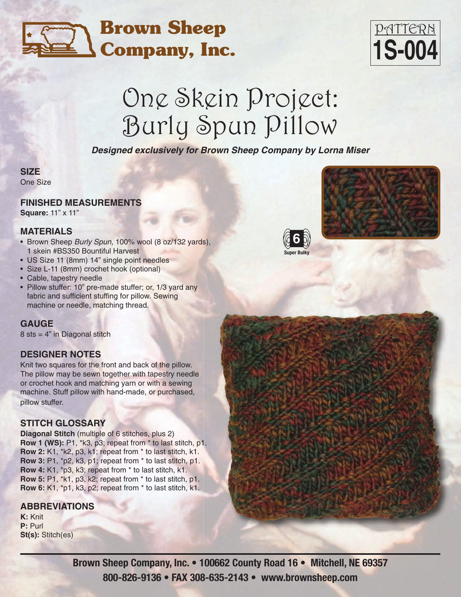### **Brown Sheep Company, Inc.**

## PATTERN **1S-004**

# One Skein Project: Burly Spun Pillow

*Designed exclusively for Brown Sheep Company by Lorna Miser*

#### **SIZE**

One Size

#### **FINISHED MEASUREMENTS**

**Square:** 11" x 11"

#### **MATERIALS**

- Brown Sheep *Burly Spun,* 100% wool (8 oz/132 yards), 1 skein #BS350 Bountiful Harvest
- US Size 11 (8mm) 14" single point needles
- Size L-11 (8mm) crochet hook (optional)
- Cable, tapestry needle
- Pillow stuffer: 10" pre-made stuffer; or, 1/3 yard any fabric and sufficient stuffing for pillow. Sewing machine or needle, matching thread.

#### **GAUGE**

 $8$  sts =  $4"$  in Diagonal stitch

#### **DESIGNER NOTES**

Knit two squares for the front and back of the pillow. The pillow may be sewn together with tapestry needle or crochet hook and matching yarn or with a sewing machine. Stuff pillow with hand-made, or purchased, pillow stuffer.

#### **STITCH GLOSSARY**

**Diagonal Stitch** (multiple of 6 stitches, plus 2) **Row 1 (WS):** P1, \*k3, p3; repeat from \* to last stitch, p1. **Row 2:** K1, \*k2, p3, k1; repeat from \* to last stitch, k1. **Row 3:** P1, \*p2, k3, p1; repeat from \* to last stitch, p1. **Row 4:** K1, \*p3, k3; repeat from \* to last stitch, k1. **Row 5:** P1, \*k1, p3, k2; repeat from \* to last stitch, p1. **Row 6:** K1, \*p1, k3, p2; repeat from \* to last stitch, k1.

#### **ABBREVIATIONS**

**K:** Knit **P:** Purl **St(s):** Stitch(es)





**Brown Sheep Company, Inc. • 100662 County Road 16 • Mitchell, NE 69357 800-826-9136 • FAX 308-635-2143 • www.brownsheep.com**